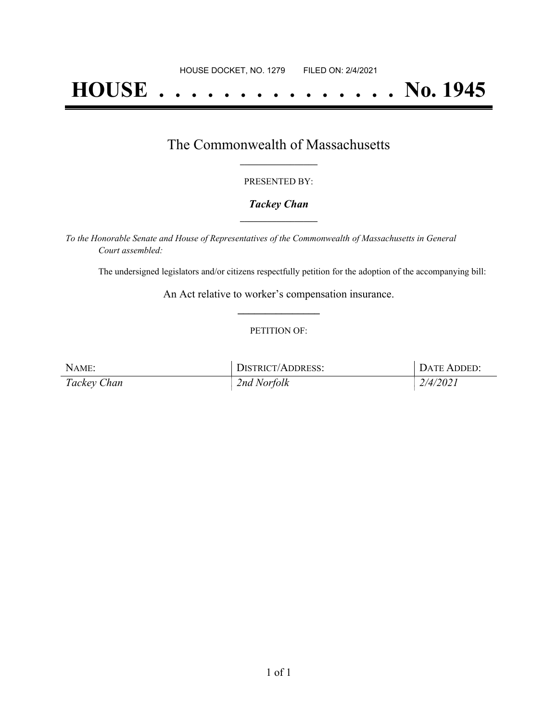# **HOUSE . . . . . . . . . . . . . . . No. 1945**

### The Commonwealth of Massachusetts **\_\_\_\_\_\_\_\_\_\_\_\_\_\_\_\_\_**

#### PRESENTED BY:

#### *Tackey Chan* **\_\_\_\_\_\_\_\_\_\_\_\_\_\_\_\_\_**

*To the Honorable Senate and House of Representatives of the Commonwealth of Massachusetts in General Court assembled:*

The undersigned legislators and/or citizens respectfully petition for the adoption of the accompanying bill:

An Act relative to worker's compensation insurance. **\_\_\_\_\_\_\_\_\_\_\_\_\_\_\_**

#### PETITION OF:

| NAME:       | <b>DISTRICT/ADDRESS:</b> | DATE ADDED: |
|-------------|--------------------------|-------------|
| Tackey Chan | 2nd Norfolk              | 2/4/2021    |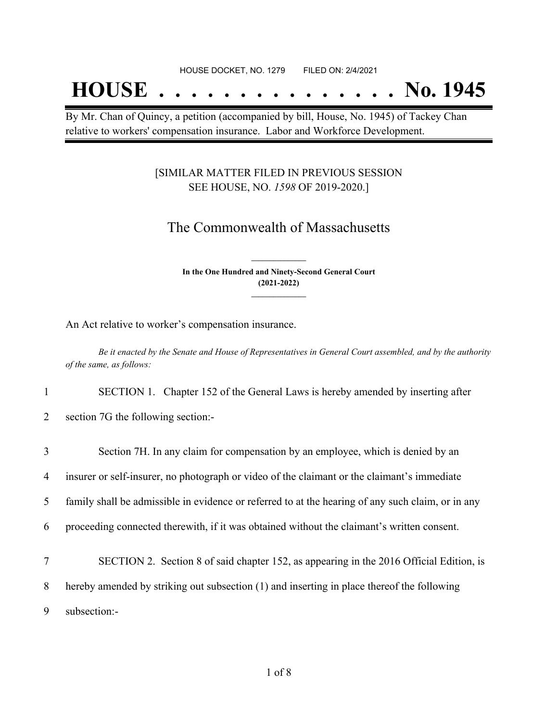## **HOUSE . . . . . . . . . . . . . . . No. 1945**

By Mr. Chan of Quincy, a petition (accompanied by bill, House, No. 1945) of Tackey Chan relative to workers' compensation insurance. Labor and Workforce Development.

#### [SIMILAR MATTER FILED IN PREVIOUS SESSION SEE HOUSE, NO. *1598* OF 2019-2020.]

## The Commonwealth of Massachusetts

**In the One Hundred and Ninety-Second General Court (2021-2022) \_\_\_\_\_\_\_\_\_\_\_\_\_\_\_**

**\_\_\_\_\_\_\_\_\_\_\_\_\_\_\_**

An Act relative to worker's compensation insurance.

Be it enacted by the Senate and House of Representatives in General Court assembled, and by the authority *of the same, as follows:*

1 SECTION 1. Chapter 152 of the General Laws is hereby amended by inserting after

2 section 7G the following section:-

| 3 | Section 7H. In any claim for compensation by an employee, which is denied by an                   |
|---|---------------------------------------------------------------------------------------------------|
| 4 | insurer or self-insurer, no photograph or video of the claimant or the claimant's immediate       |
| 5 | family shall be admissible in evidence or referred to at the hearing of any such claim, or in any |
| 6 | proceeding connected therewith, if it was obtained without the claimant's written consent.        |
| 7 | SECTION 2. Section 8 of said chapter 152, as appearing in the 2016 Official Edition, is           |
| 8 | hereby amended by striking out subsection (1) and inserting in place thereof the following        |
| 9 | subsection:-                                                                                      |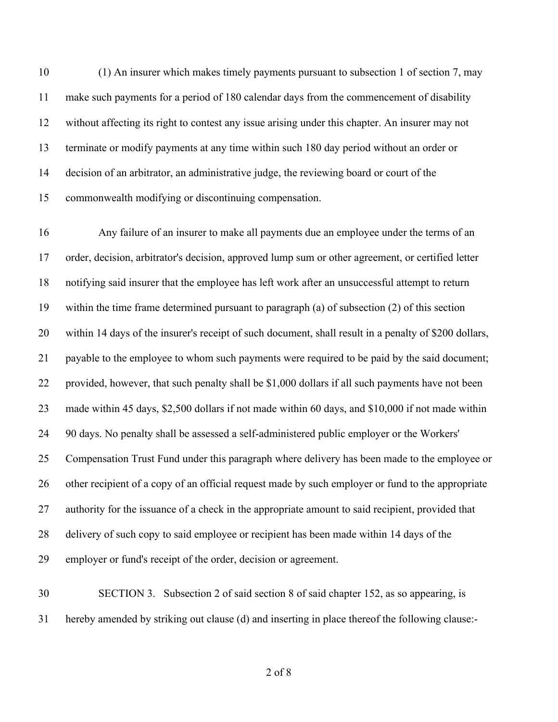(1) An insurer which makes timely payments pursuant to subsection 1 of section 7, may make such payments for a period of 180 calendar days from the commencement of disability without affecting its right to contest any issue arising under this chapter. An insurer may not terminate or modify payments at any time within such 180 day period without an order or decision of an arbitrator, an administrative judge, the reviewing board or court of the commonwealth modifying or discontinuing compensation.

 Any failure of an insurer to make all payments due an employee under the terms of an order, decision, arbitrator's decision, approved lump sum or other agreement, or certified letter notifying said insurer that the employee has left work after an unsuccessful attempt to return within the time frame determined pursuant to paragraph (a) of subsection (2) of this section within 14 days of the insurer's receipt of such document, shall result in a penalty of \$200 dollars, payable to the employee to whom such payments were required to be paid by the said document; provided, however, that such penalty shall be \$1,000 dollars if all such payments have not been made within 45 days, \$2,500 dollars if not made within 60 days, and \$10,000 if not made within 90 days. No penalty shall be assessed a self-administered public employer or the Workers' Compensation Trust Fund under this paragraph where delivery has been made to the employee or other recipient of a copy of an official request made by such employer or fund to the appropriate 27 authority for the issuance of a check in the appropriate amount to said recipient, provided that delivery of such copy to said employee or recipient has been made within 14 days of the employer or fund's receipt of the order, decision or agreement.

 SECTION 3. Subsection 2 of said section 8 of said chapter 152, as so appearing, is hereby amended by striking out clause (d) and inserting in place thereof the following clause:-

of 8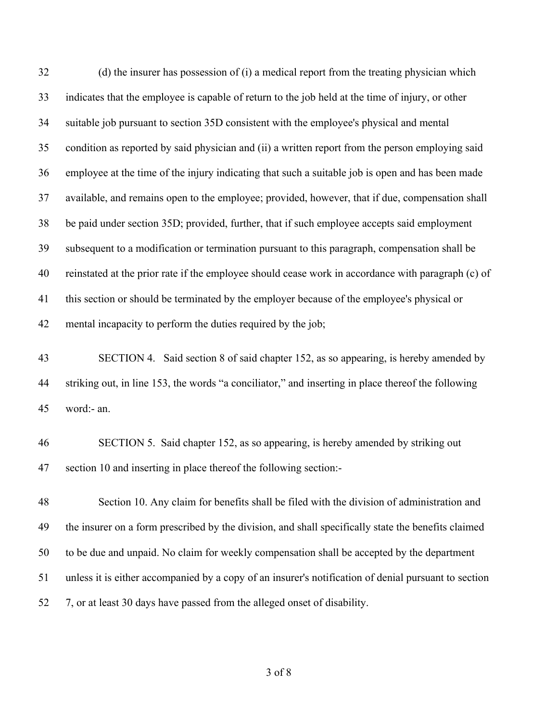(d) the insurer has possession of (i) a medical report from the treating physician which indicates that the employee is capable of return to the job held at the time of injury, or other suitable job pursuant to section 35D consistent with the employee's physical and mental condition as reported by said physician and (ii) a written report from the person employing said employee at the time of the injury indicating that such a suitable job is open and has been made available, and remains open to the employee; provided, however, that if due, compensation shall be paid under section 35D; provided, further, that if such employee accepts said employment subsequent to a modification or termination pursuant to this paragraph, compensation shall be reinstated at the prior rate if the employee should cease work in accordance with paragraph (c) of this section or should be terminated by the employer because of the employee's physical or mental incapacity to perform the duties required by the job; SECTION 4. Said section 8 of said chapter 152, as so appearing, is hereby amended by striking out, in line 153, the words "a conciliator," and inserting in place thereof the following word:- an. SECTION 5. Said chapter 152, as so appearing, is hereby amended by striking out section 10 and inserting in place thereof the following section:- Section 10. Any claim for benefits shall be filed with the division of administration and the insurer on a form prescribed by the division, and shall specifically state the benefits claimed to be due and unpaid. No claim for weekly compensation shall be accepted by the department unless it is either accompanied by a copy of an insurer's notification of denial pursuant to section 7, or at least 30 days have passed from the alleged onset of disability.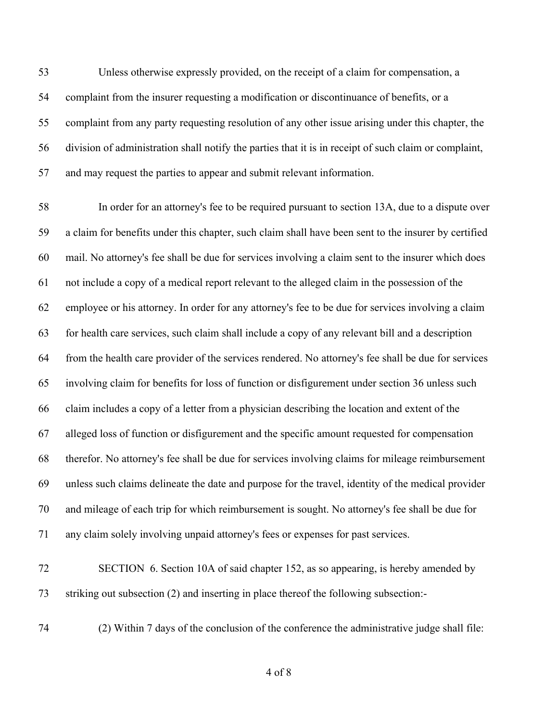Unless otherwise expressly provided, on the receipt of a claim for compensation, a complaint from the insurer requesting a modification or discontinuance of benefits, or a complaint from any party requesting resolution of any other issue arising under this chapter, the division of administration shall notify the parties that it is in receipt of such claim or complaint, and may request the parties to appear and submit relevant information.

 In order for an attorney's fee to be required pursuant to section 13A, due to a dispute over a claim for benefits under this chapter, such claim shall have been sent to the insurer by certified mail. No attorney's fee shall be due for services involving a claim sent to the insurer which does not include a copy of a medical report relevant to the alleged claim in the possession of the employee or his attorney. In order for any attorney's fee to be due for services involving a claim for health care services, such claim shall include a copy of any relevant bill and a description from the health care provider of the services rendered. No attorney's fee shall be due for services involving claim for benefits for loss of function or disfigurement under section 36 unless such claim includes a copy of a letter from a physician describing the location and extent of the alleged loss of function or disfigurement and the specific amount requested for compensation therefor. No attorney's fee shall be due for services involving claims for mileage reimbursement unless such claims delineate the date and purpose for the travel, identity of the medical provider and mileage of each trip for which reimbursement is sought. No attorney's fee shall be due for any claim solely involving unpaid attorney's fees or expenses for past services.

- SECTION 6. Section 10A of said chapter 152, as so appearing, is hereby amended by striking out subsection (2) and inserting in place thereof the following subsection:-
- 

(2) Within 7 days of the conclusion of the conference the administrative judge shall file: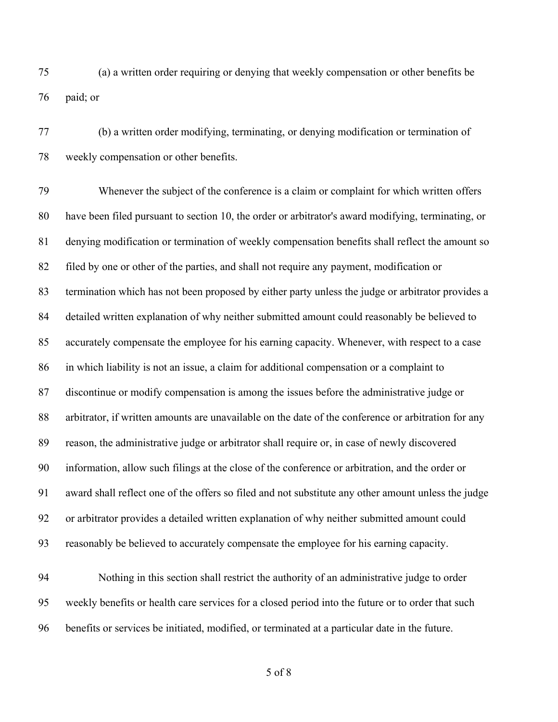(a) a written order requiring or denying that weekly compensation or other benefits be paid; or

 (b) a written order modifying, terminating, or denying modification or termination of weekly compensation or other benefits.

 Whenever the subject of the conference is a claim or complaint for which written offers have been filed pursuant to section 10, the order or arbitrator's award modifying, terminating, or denying modification or termination of weekly compensation benefits shall reflect the amount so filed by one or other of the parties, and shall not require any payment, modification or termination which has not been proposed by either party unless the judge or arbitrator provides a detailed written explanation of why neither submitted amount could reasonably be believed to accurately compensate the employee for his earning capacity. Whenever, with respect to a case in which liability is not an issue, a claim for additional compensation or a complaint to discontinue or modify compensation is among the issues before the administrative judge or arbitrator, if written amounts are unavailable on the date of the conference or arbitration for any reason, the administrative judge or arbitrator shall require or, in case of newly discovered information, allow such filings at the close of the conference or arbitration, and the order or award shall reflect one of the offers so filed and not substitute any other amount unless the judge or arbitrator provides a detailed written explanation of why neither submitted amount could reasonably be believed to accurately compensate the employee for his earning capacity.

 Nothing in this section shall restrict the authority of an administrative judge to order weekly benefits or health care services for a closed period into the future or to order that such benefits or services be initiated, modified, or terminated at a particular date in the future.

of 8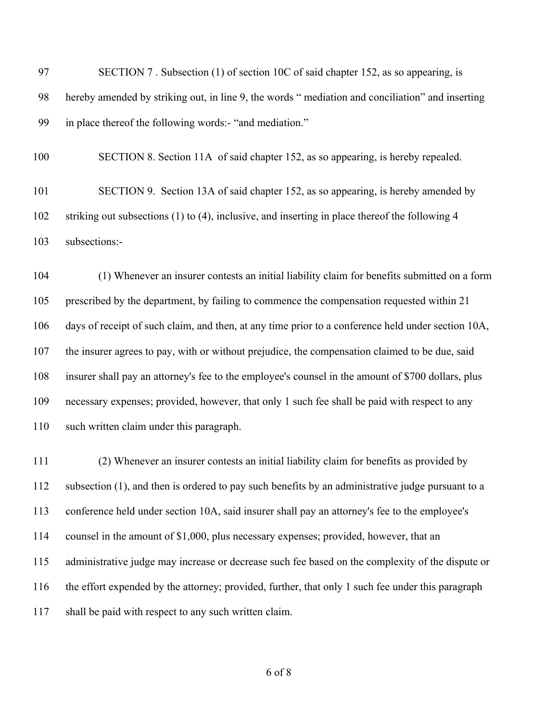| -97 | SECTION 7. Subsection (1) of section 10C of said chapter 152, as so appearing, is               |
|-----|-------------------------------------------------------------------------------------------------|
| -98 | hereby amended by striking out, in line 9, the words "mediation and conciliation" and inserting |
| -99 | in place thereof the following words:- "and mediation."                                         |

 SECTION 8. Section 11A of said chapter 152, as so appearing, is hereby repealed. SECTION 9. Section 13A of said chapter 152, as so appearing, is hereby amended by

 striking out subsections (1) to (4), inclusive, and inserting in place thereof the following 4 subsections:-

 (1) Whenever an insurer contests an initial liability claim for benefits submitted on a form prescribed by the department, by failing to commence the compensation requested within 21 days of receipt of such claim, and then, at any time prior to a conference held under section 10A, the insurer agrees to pay, with or without prejudice, the compensation claimed to be due, said insurer shall pay an attorney's fee to the employee's counsel in the amount of \$700 dollars, plus necessary expenses; provided, however, that only 1 such fee shall be paid with respect to any such written claim under this paragraph.

 (2) Whenever an insurer contests an initial liability claim for benefits as provided by subsection (1), and then is ordered to pay such benefits by an administrative judge pursuant to a conference held under section 10A, said insurer shall pay an attorney's fee to the employee's counsel in the amount of \$1,000, plus necessary expenses; provided, however, that an administrative judge may increase or decrease such fee based on the complexity of the dispute or the effort expended by the attorney; provided, further, that only 1 such fee under this paragraph shall be paid with respect to any such written claim.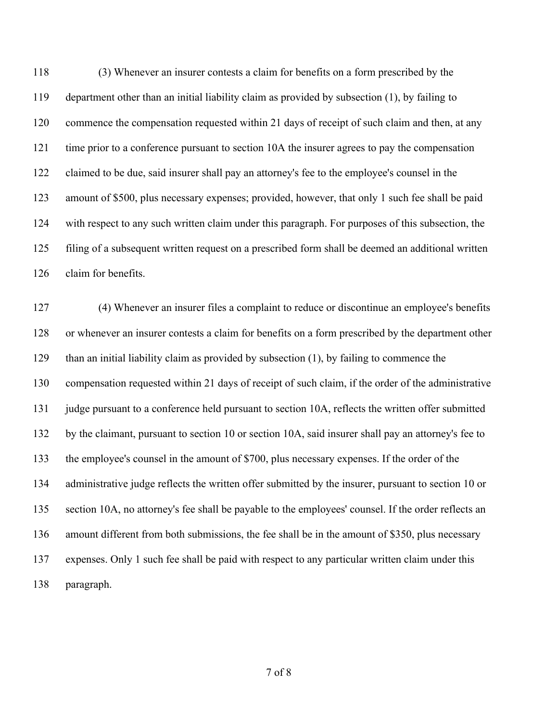(3) Whenever an insurer contests a claim for benefits on a form prescribed by the department other than an initial liability claim as provided by subsection (1), by failing to commence the compensation requested within 21 days of receipt of such claim and then, at any time prior to a conference pursuant to section 10A the insurer agrees to pay the compensation claimed to be due, said insurer shall pay an attorney's fee to the employee's counsel in the amount of \$500, plus necessary expenses; provided, however, that only 1 such fee shall be paid with respect to any such written claim under this paragraph. For purposes of this subsection, the filing of a subsequent written request on a prescribed form shall be deemed an additional written claim for benefits.

 (4) Whenever an insurer files a complaint to reduce or discontinue an employee's benefits or whenever an insurer contests a claim for benefits on a form prescribed by the department other than an initial liability claim as provided by subsection (1), by failing to commence the compensation requested within 21 days of receipt of such claim, if the order of the administrative judge pursuant to a conference held pursuant to section 10A, reflects the written offer submitted by the claimant, pursuant to section 10 or section 10A, said insurer shall pay an attorney's fee to the employee's counsel in the amount of \$700, plus necessary expenses. If the order of the administrative judge reflects the written offer submitted by the insurer, pursuant to section 10 or section 10A, no attorney's fee shall be payable to the employees' counsel. If the order reflects an amount different from both submissions, the fee shall be in the amount of \$350, plus necessary expenses. Only 1 such fee shall be paid with respect to any particular written claim under this paragraph.